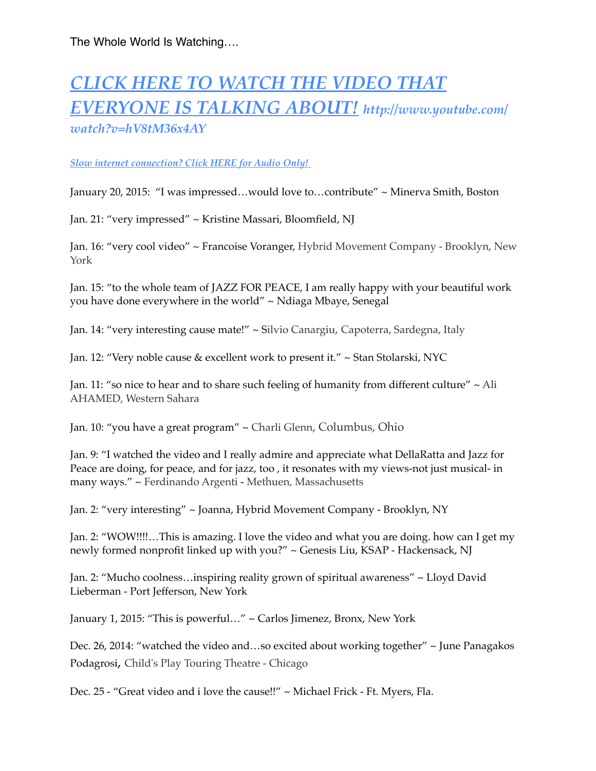# *[CLICK HERE TO WATCH THE VIDEO THAT](https://www.youtube.com/watch?v=hV8tM36x4AY)  [EVERYONE IS TALKING ABOUT!](http://www.youtube.com/watch?v=hV8tM36x4AY) http://www.youtube.com/ watch?v=hV8tM36x4AY*

#### *[Slow internet connection? Click HERE for Audio Only!](http://missionsradio.podbean.com/e/interview-with-rick-dellaratta-of-founder-of-jazz-4-peace/)*

January 20, 2015: "I was impressed…would love to…contribute" ~ Minerva Smith, Boston

Jan. 21: "very impressed" ~ Kristine Massari, Bloomfield, NJ

[Jan. 16: "very cool video" ~ Francoise Voranger, Hybrid Movement Company - Brooklyn, New](https://www.linkedin.com/vsearch/p?f_G=us%3A70&trk=prof-0-ovw-location)  York

Jan. 15: "to the whole team of JAZZ FOR PEACE, I am really happy with your beautiful work you have done everywhere in the world" ~ Ndiaga Mbaye, Senegal

Jan. 14: "very interesting cause mate!" ~ Silvio Canargiu, Capoterra, Sardegna, Italy

Jan. 12: "Very noble cause & excellent work to present it." ~ Stan Stolarski, NYC

Jan. 11: "so nice to hear and to share such feeling of humanity from different culture" ~ Ali AHAMED, [Western Sahara](https://www.linkedin.com/vsearch/p?countryCode=eh&trk=prof-0-ovw-location)

Jan. 10: "you have a great program" ~ Charli Glenn, Columbus, Ohio

Jan. 9: "I watched the video and I really admire and appreciate what DellaRatta and Jazz for Peace are doing, for peace, and for jazz, too , it resonates with my views-not just musical- in many ways." ~ Ferdinando Argenti - [Methuen, Massachusetts](https://www.linkedin.com/vsearch/p?f_G=us%3A7&trk=prof-0-ovw-location)

Jan. 2: "very interesting" ~ Joanna, Hybrid Movement Company - Brooklyn, NY

Jan. 2: "WOW!!!!…This is amazing. I love the video and what you are doing. how can I get my newly formed nonprofit linked up with you?" ~ Genesis Liu, KSAP - Hackensack, NJ

Jan. 2: "Mucho coolness…inspiring reality grown of spiritual awareness" ~ Lloyd David Lieberman - Port Jefferson, New York

January 1, 2015: "This is powerful…" ~ Carlos Jimenez, Bronx, New York

Dec. 26, 2014: "watched the video and…so excited about working together" ~ June Panagakos Podagrosi, Child's Play Touring Theatre - Chicago

Dec. 25 - "Great video and i love the cause!!" ~ Michael Frick - Ft. Myers, Fla.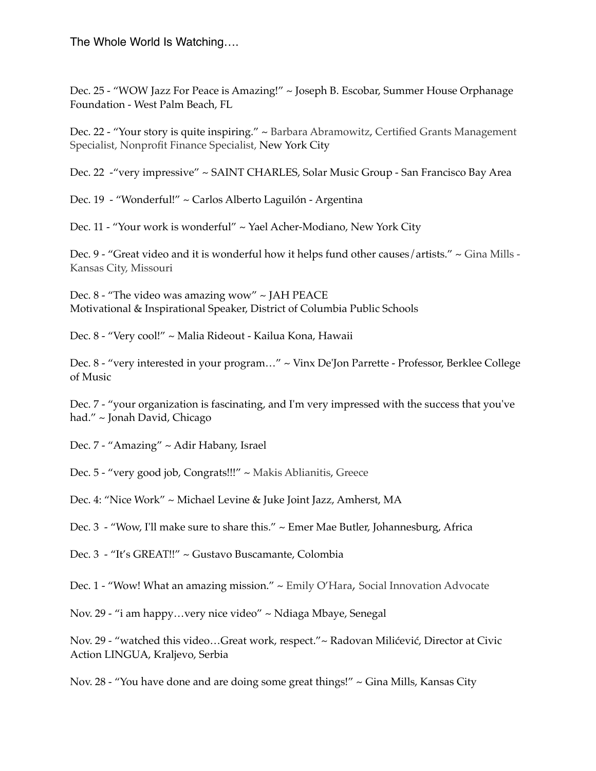Dec. 25 - "WOW Jazz For Peace is Amazing!" ~ Joseph B. Escobar, Summer House Orphanage Foundation - West Palm Beach, FL

Dec. 22 - "Your story is quite inspiring." ~ Barbara Abramowitz, Certified Grants Management Specialist, Nonprofit Finance Specialist, New York City

Dec. 22 -"very impressive" ~ SAINT CHARLES, Solar Music Group - San Francisco Bay Area

Dec. 19 - "Wonderful!" ~ Carlos Alberto Laguilón - Argentina

Dec. 11 - "Your work is wonderful" ~ Yael Acher-Modiano, New York City

Dec. 9 - "Great video and it is wonderful how it helps fund other causes/artists." ~ Gina Mills - Kansas City, Missouri

Dec. 8 - "The video was amazing wow" ~ JAH PEACE Motivational & Inspirational Speaker, District of Columbia Public Schools

Dec. 8 - "Very cool!" ~ Malia Rideout - Kailua Kona, Hawaii

Dec. 8 - "very interested in your program…" ~ Vinx De'Jon Parrette - Professor, Berklee College of Music

Dec. 7 - "your organization is fascinating, and I'm very impressed with the success that you've had." ~ Jonah David, Chicago

Dec. 7 - "Amazing" ~ Adir Habany, Israel

Dec. 5 - "very good job, Congrats!!!" ~ Makis Ablianitis, [Greece](https://www.linkedin.com/vsearch/p?countryCode=gr&trk=prof-0-ovw-location)

Dec. 4: "Nice Work" ~ Michael Levine & Juke Joint Jazz, Amherst, MA

Dec. 3 - "Wow, I'll make sure to share this." ~ Emer Mae Butler, Johannesburg, Africa

Dec. 3 - "It's GREAT!!" ~ Gustavo Buscamante, Colombia

Dec. 1 - "Wow! What an amazing mission." ~ Emily O'Hara, Social Innovation Advocate

Nov. 29 - "i am happy…very nice video" ~ Ndiaga Mbaye, Senegal

Nov. 29 - "watched this video…Great work, respect."~ Radovan Milićević, Director at Civic Action LINGUA, Kraljevo, Serbia

Nov. 28 - "You have done and are doing some great things!" ~ Gina Mills, Kansas City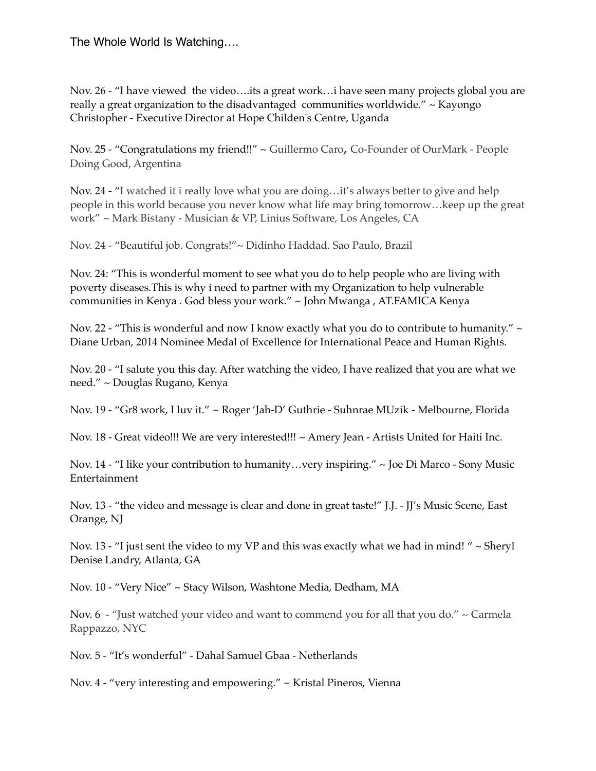Nov. 26 - "I have viewed the video….its a great work…i have seen many projects global you are really a great organization to the disadvantaged communities worldwide." ~ Kayongo Christopher - Executive Director at Hope Childen's Centre, Uganda

Nov. 25 - "Congratulations my friend!!" ~ [Guillermo Caro](http://www.linkedin.com/blink?simpleRedirect=0UdzgNd38Zh4BOpm9JpmQCcj1vp6lFpCBHoS5KsRZzoClJfmJB9CNFomRBcmZQciRBrm5Kbm8JoS9BrlZJrmZzbmNJpjRDrCBHoS5Ot2phs6RvcRxzcARyp4lhgjRKpmJLl6hFripSs6UZt2pRciQMcmFUdTsOqiRMsm4Mcj4ZpjYOtyZBbSRLoOVKqmhBqSVFr2VTtTsLbPFMt7hE&msgID=I5942727964595621888_500&markAsRead=), Co-Founder of OurMark - People Doing Good, Argentina

Nov. 24 - "I watched it i really love what you are doing…it's always better to give and help people in this world because you never know what life may bring tomorrow…keep up the great work" ~ Mark Bistany - Musician & [VP, Linius Software](https://www.linkedin.com/vsearch/p?title=VP+at+linius+software&trk=prof-exp-title), Los Angeles, CA

Nov. 24 - "Beautiful job. Congrats!"~ [Didinho Haddad.](http://www.youtube.com/profile_redirector/116789687204917664749) Sao Paulo, Brazil

Nov. 24: "This is wonderful moment to see what you do to help people who are living with poverty diseases.This is why i need to partner with my Organization to help vulnerable communities in Kenya . God bless your work." ~ John Mwanga , AT.FAMICA Kenya

Nov. 22 - "This is wonderful and now I know exactly what you do to contribute to humanity."  $\sim$ Diane Urban, 2014 Nominee Medal of Excellence for International Peace and Human Rights.

Nov. 20 - "I salute you this day. After watching the video, I have realized that you are what we need." ~ Douglas Rugano, Kenya

Nov. 19 - "Gr8 work, I luv it." ~ Roger 'Jah-D' Guthrie - Suhnrae MUzik - Melbourne, Florida

Nov. 18 - Great video!!! We are very interested!!! ~ Amery Jean - Artists United for Haiti Inc.

Nov. 14 - "I like your contribution to humanity…very inspiring." ~ Joe Di Marco - Sony Music Entertainment

Nov. 13 - "the video and message is clear and done in great taste!" J.J. - JJ's Music Scene, East Orange, NJ

Nov. 13 - "I just sent the video to my VP and this was exactly what we had in mind! " ~ Sheryl Denise Landry, Atlanta, GA

Nov. 10 - "Very Nice" ~ Stacy Wilson, Washtone Media, Dedham, MA

Nov.  $6 -$  "Just watched your video and want to commend you for all that you do."  $\sim$  Carmela Rappazzo, NYC

Nov. 5 - "It's wonderful" - Dahal Samuel Gbaa - Netherlands

Nov. 4 - "very interesting and empowering." ~ Kristal Pineros, Vienna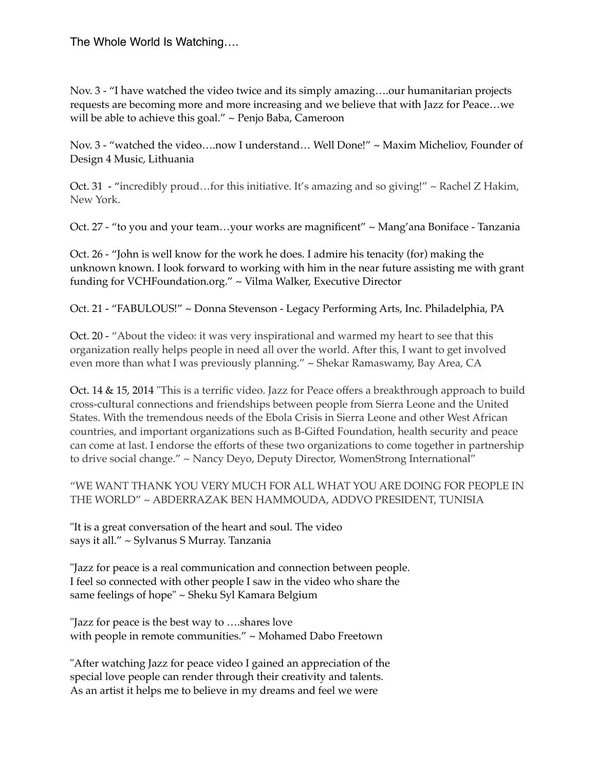Nov. 3 - "I have watched the video twice and its simply amazing….our humanitarian projects requests are becoming more and more increasing and we believe that with Jazz for Peace…we will be able to achieve this goal." ~ Penjo Baba, Cameroon

Nov. 3 - "watched the video….now I understand… Well Done!" ~ Maxim Micheliov, Founder of Design 4 Music, Lithuania

Oct. 31 - "incredibly proud…for this initiative. It's amazing and so giving!" ~ Rachel Z Hakim, New York.

Oct. 27 - "to you and your team…your works are magnificent" ~ Mang'ana Boniface - Tanzania

Oct. 26 - "John is well know for the work he does. I admire his tenacity (for) making the unknown known. I look forward to working with him in the near future assisting me with grant funding for VCHFoundation.org." ~ Vilma Walker, Executive Director

Oct. 21 - "FABULOUS!" ~ Donna Stevenson - Legacy Performing Arts, Inc. Philadelphia, PA

Oct. 20 - "About the video: it was very inspirational and warmed my heart to see that this organization really helps people in need all over the world. After this, I want to get involved even more than what I was previously planning." ~ Shekar Ramaswamy, Bay Area, CA

Oct. 14 & 15, 2014 "This is a terrific video. Jazz for Peace offers a breakthrough approach to build cross-cultural connections and friendships between people from Sierra Leone and the United States. With the tremendous needs of the Ebola Crisis in Sierra Leone and other West African countries, and important organizations such as B-Gifted Foundation, health security and peace can come at last. I endorse the efforts of these two organizations to come together in partnership to drive social change." ~ Nancy Deyo, Deputy Director, WomenStrong International"

#### "WE WANT THANK YOU VERY MUCH FOR ALL WHAT YOU ARE DOING FOR PEOPLE IN THE WORLD" ~ ABDERRAZAK BEN HAMMOUDA, ADDVO PRESIDENT, TUNISIA

"It is a great conversation of the heart and soul. The video says it all." ~ Sylvanus S Murray. Tanzania

"Jazz for peace is a real communication and connection between people. I feel so connected with other people I saw in the video who share the same feelings of hope" ~ Sheku Syl Kamara Belgium

"Jazz for peace is the best way to ….shares love with people in remote communities." ~ Mohamed Dabo Freetown

"After watching Jazz for peace video I gained an appreciation of the special love people can render through their creativity and talents. As an artist it helps me to believe in my dreams and feel we were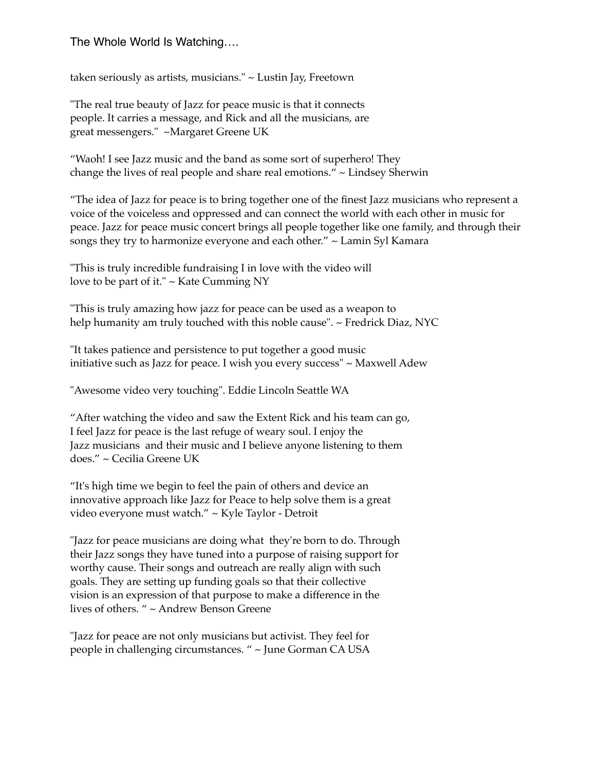taken seriously as artists, musicians." ~ Lustin Jay, Freetown

"The real true beauty of Jazz for peace music is that it connects people. It carries a message, and Rick and all the musicians, are great messengers." ~Margaret Greene UK

"Waoh! I see Jazz music and the band as some sort of superhero! They change the lives of real people and share real emotions." ~ Lindsey Sherwin

"The idea of Jazz for peace is to bring together one of the finest Jazz musicians who represent a voice of the voiceless and oppressed and can connect the world with each other in music for peace. Jazz for peace music concert brings all people together like one family, and through their songs they try to harmonize everyone and each other." ~ Lamin Syl Kamara

"This is truly incredible fundraising I in love with the video will love to be part of it." ~ Kate Cumming NY

"This is truly amazing how jazz for peace can be used as a weapon to help humanity am truly touched with this noble cause". ~ Fredrick Diaz, NYC

"It takes patience and persistence to put together a good music initiative such as Jazz for peace. I wish you every success" ~ Maxwell Adew

"Awesome video very touching". Eddie Lincoln Seattle WA

"After watching the video and saw the Extent Rick and his team can go, I feel Jazz for peace is the last refuge of weary soul. I enjoy the Jazz musicians and their music and I believe anyone listening to them does." ~ Cecilia Greene UK

"It's high time we begin to feel the pain of others and device an innovative approach like Jazz for Peace to help solve them is a great video everyone must watch." ~ Kyle Taylor - Detroit

"Jazz for peace musicians are doing what they're born to do. Through their Jazz songs they have tuned into a purpose of raising support for worthy cause. Their songs and outreach are really align with such goals. They are setting up funding goals so that their collective vision is an expression of that purpose to make a difference in the lives of others. " ~ Andrew Benson Greene

"Jazz for peace are not only musicians but activist. They feel for people in challenging circumstances. " ~ June Gorman CA USA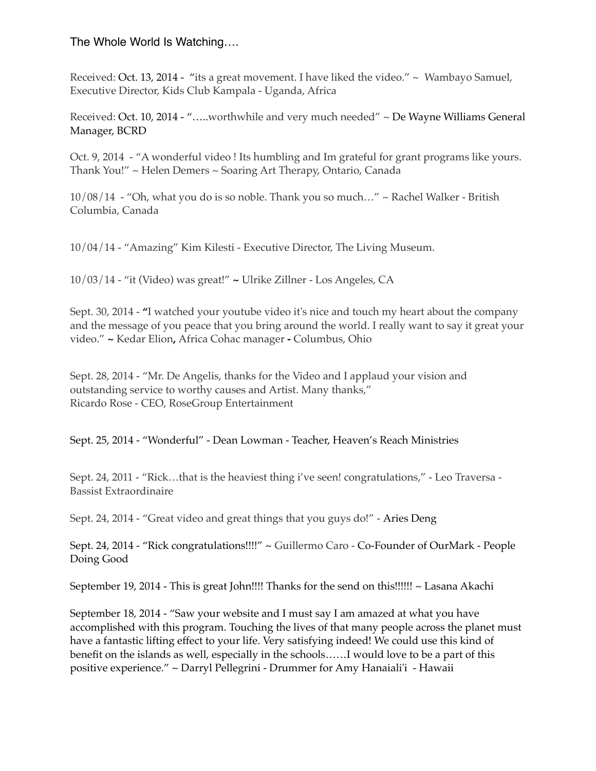Received: Oct. 13, 2014 - "its a great movement. I have liked the video." ~ Wambayo Samuel, Executive Director, Kids Club Kampala - Uganda, Africa

Received: Oct. 10, 2014 - "…..worthwhile and very much needed" ~ De Wayne Williams General Manager, BCRD

Oct. 9, 2014 - "A wonderful video ! Its humbling and Im grateful for grant programs like yours. Thank You!" ~ Helen Demers ~ Soaring Art Therapy, Ontario, Canada

10/08/14 - "Oh, what you do is so noble. Thank you so much…" ~ Rachel Walker - British Columbia, Canada

10/04/14 - "Amazing" Kim Kilesti - Executive Director, The Living Museum.

10/03/14 - "it (Video) was great!" **~** Ulrike Zillner - Los Angeles, CA

Sept. 30, 2014 - **"**I watched your youtube video it's nice and touch my heart about the company and the message of you peace that you bring around the world. I really want to say it great your video." **~** Kedar Elion**,** Africa Cohac manager **-** Columbus, Ohio

Sept. 28, 2014 - "Mr. De Angelis, thanks for the Video and I applaud your vision and outstanding service to worthy causes and Artist. Many thanks," Ricardo Rose - CEO, RoseGroup Entertainment

Sept. 25, 2014 - "Wonderful" - [Dean Lowman](https://www.linkedin.com/profile/view?id=37970508&locale=en_US) - Teacher, Heaven's Reach Ministries

Sept. 24, 2011 - "Rick…that is the heaviest thing i've seen! congratulations," - Leo Traversa - Bassist Extraordinaire

Sept. 24, 2014 - "Great video and great things that you guys do!" - [Aries Deng](https://www.linkedin.com/profile/view?id=253451176&authType=name&authToken=YBCj&goback=)

Sept. 24, 2014 - "Rick congratulations!!!!" ~ Guillermo Caro - Co-Founder of OurMark - People Doing Good

September 19, 2014 - This is great John!!!! Thanks for the send on this!!!!!! ~ [Lasana Akachi](https://www.linkedin.com/profile/view?id=993674&authType=name&authToken=hDIm&goback=)

September 18, 2014 - "Saw your website and I must say I am amazed at what you have accomplished with this program. Touching the lives of that many people across the planet must have a fantastic lifting effect to your life. Very satisfying indeed! We could use this kind of benefit on the islands as well, especially in the schools……I would love to be a part of this positive experience." ~ Darryl Pellegrini - Drummer for Amy Hanaiali'i - Hawaii